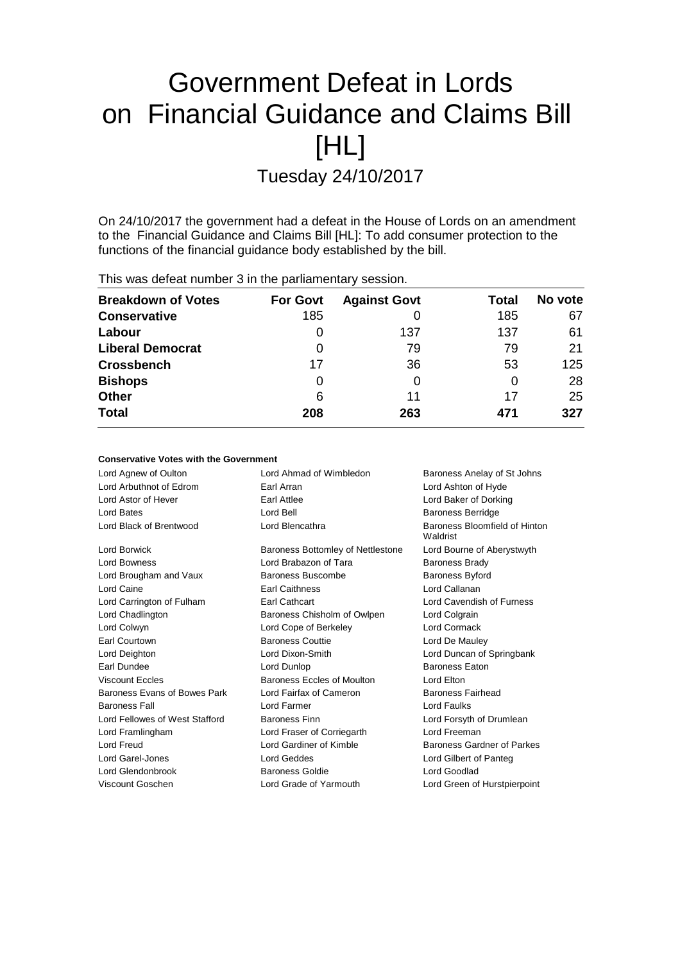# Government Defeat in Lords on Financial Guidance and Claims Bill [HL]

Tuesday 24/10/2017

On 24/10/2017 the government had a defeat in the House of Lords on an amendment to the Financial Guidance and Claims Bill [HL]: To add consumer protection to the functions of the financial guidance body established by the bill.

| This was defeat number 3 in the parliamentary session. |                 |                     |       |         |
|--------------------------------------------------------|-----------------|---------------------|-------|---------|
| <b>Breakdown of Votes</b>                              | <b>For Govt</b> | <b>Against Govt</b> | Total | No vote |
| <b>Conservative</b>                                    | 185             |                     | 185   | 67      |
| Labour                                                 | $\cup$          | 137                 | 137   | 61      |
| <b>Liberal Democrat</b>                                | 0               | 79                  | 79    | 21      |
| <b>Crossbench</b>                                      | 17              | 36                  | 53    | 125     |
| <b>Bishops</b>                                         | 0               | 0                   | 0     | 28      |
| Other                                                  | 6               | 11                  | 17    | 25      |
| Total                                                  | 208             | 263                 | 471   | 327     |

## **Conservative Votes with the Government**

| Lord Agnew of Oulton           | Lord Ahmad of Wimbledon           | Baroness Anelay of St Johns               |  |
|--------------------------------|-----------------------------------|-------------------------------------------|--|
| Lord Arbuthnot of Edrom        | Earl Arran                        | Lord Ashton of Hyde                       |  |
| Lord Astor of Hever            | Earl Attlee                       | Lord Baker of Dorking                     |  |
| Lord Bates                     | Lord Bell                         | <b>Baroness Berridge</b>                  |  |
| Lord Black of Brentwood        | Lord Blencathra                   | Baroness Bloomfield of Hinton<br>Waldrist |  |
| Lord Borwick                   | Baroness Bottomley of Nettlestone | Lord Bourne of Aberystwyth                |  |
| <b>Lord Bowness</b>            | Lord Brabazon of Tara             | <b>Baroness Brady</b>                     |  |
| Lord Brougham and Vaux         | Baroness Buscombe                 | <b>Baroness Byford</b>                    |  |
| Lord Caine                     | <b>Earl Caithness</b>             | Lord Callanan                             |  |
| Lord Carrington of Fulham      | Earl Cathcart                     | Lord Cavendish of Furness                 |  |
| Lord Chadlington               | Baroness Chisholm of Owlpen       | Lord Colgrain                             |  |
| Lord Colwyn                    | Lord Cope of Berkeley             | Lord Cormack                              |  |
| <b>Earl Courtown</b>           | <b>Baroness Couttie</b>           | Lord De Mauley                            |  |
| Lord Deighton                  | Lord Dixon-Smith                  | Lord Duncan of Springbank                 |  |
| Earl Dundee                    | Lord Dunlop                       | <b>Baroness Eaton</b>                     |  |
| <b>Viscount Eccles</b>         | Baroness Eccles of Moulton        | Lord Elton                                |  |
| Baroness Evans of Bowes Park   | Lord Fairfax of Cameron           | <b>Baroness Fairhead</b>                  |  |
| <b>Baroness Fall</b>           | Lord Farmer                       | Lord Faulks                               |  |
| Lord Fellowes of West Stafford | <b>Baroness Finn</b>              | Lord Forsyth of Drumlean                  |  |
| Lord Framlingham               | Lord Fraser of Corriegarth        | Lord Freeman                              |  |
| Lord Freud                     | Lord Gardiner of Kimble           | Baroness Gardner of Parkes                |  |
| Lord Garel-Jones               | Lord Geddes                       | Lord Gilbert of Panteg                    |  |
| Lord Glendonbrook              | Baroness Goldie                   | Lord Goodlad                              |  |
| Viscount Goschen               | Lord Grade of Yarmouth            | Lord Green of Hurstpierpoint              |  |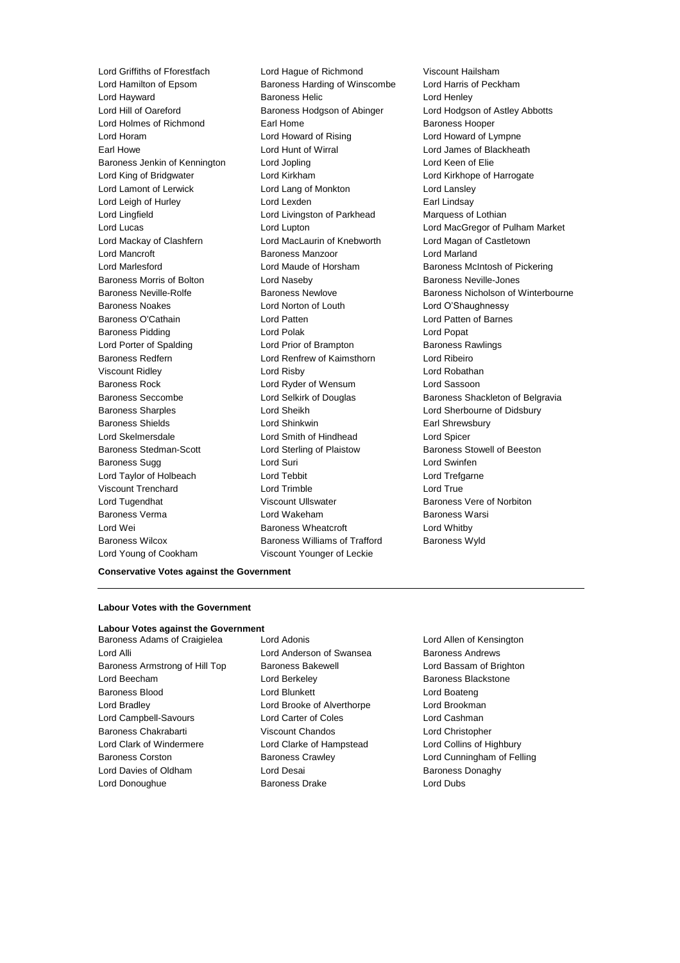Lord Hamilton of Epsom Baroness Harding of Winscombe Lord Hayward Baroness Helic Lord Henley Lord Hill of Oareford **Baroness Hodgson of Abinger** Lord Hodgson of Astley Abbotts Lord Holmes of Richmond Earl Home Earl Home Baroness Hooper Lord Horam Lord Howard of Rising Lord Howard of Lympne Earl Howe Lord Hunt of Wirral Lord James of Blackheath Baroness Jenkin of Kennington Lord Jopling Lord Keen of Elie Lord King of Bridgwater Lord Kirkham Lord Kirkhope of Harrogate Lord Lamont of Lerwick Lord Lang of Monkton Lord Lansley Lord Leigh of Hurley **Lord Lexden** Earl Lindsay Lord Lingfield Lord Livingston of Parkhead Marquess of Lothian Lord Mackay of Clashfern Lord MacLaurin of Knebworth Lord Magan of Castletown Lord Mancroft **Baroness Manzoor** Baroness Manzoor **Lord Marland** Lord Marlesford **Lord Maude of Horsham** Baroness McIntosh of Pickering Baroness Morris of Bolton **Lord Naseby Baroness Neville-Jones Baroness Neville-Jones** Baroness Noakes Lord Norton of Louth Lord O'Shaughnessy Baroness O'Cathain Lord Patten Lord Patten of Barnes Baroness Pidding **Lord Polak** Lord Polak **Lord Popat** Lord Porter of Spalding **Lord Prior of Brampton** Baroness Rawlings Baroness Redfern Lord Renfrew of Kaimsthorn Lord Ribeiro Viscount Ridley Lord Risby Lord Robathan Baroness Rock Lord Ryder of Wensum Lord Sassoon Baroness Sharples Lord Sheikh Lord Sherbourne of Didsbury Baroness Shields **Lord Shinkwin** Earl Shrewsbury Lord Skelmersdale Lord Smith of Hindhead Lord Spicer Baroness Stedman-Scott Lord Sterling of Plaistow Baroness Stowell of Beeston Baroness Sugg Lord Suri Lord Swinfen Lord Taylor of Holbeach Lord Tebbit Lord Trefgarne Viscount Trenchard Lord Trimble Lord True Lord Tugendhat **Viscount Ullswater** Baroness Vere of Norbiton Baroness Verma Lord Wakeham Baroness Warsi Lord Wei Baroness Wheatcroft Lord Whitby Baroness Wilcox **Baroness Williams of Trafford** Baroness Wyld Lord Young of Cookham Viscount Younger of Leckie

Lord Griffiths of Fforestfach Lord Hague of Richmond Viscount Hailsham<br>
Lord Hamilton of Epsom Baroness Harding of Winscombe Lord Harris of Peckham

Lord Lucas Lord Lupton Lord MacGregor of Pulham Market Baroness Neville-Rolfe **Baroness Newlove** Baroness Newlove **Baroness Nicholson of Winterbourne** Baroness Seccombe **Lord Selkirk of Douglas** Baroness Shackleton of Belgravia

### **Conservative Votes against the Government**

# **Labour Votes with the Government**

# **Labour Votes against the Government**

Lord Alli Lord Anderson of Swansea Baroness Andrews Baroness Armstrong of Hill Top Baroness Bakewell **Baroness Bakewell** Lord Bassam of Brighton Lord Beecham **Lord Berkeley Baroness Blackstone** Baroness Blood **Lord Blunkett** Lord Boateng Lord Boateng Lord Bradley Lord Brooke of Alverthorpe Lord Brookman Lord Campbell-Savours Lord Carter of Coles Lord Cashman Baroness Chakrabarti Viscount Chandos Lord Christopher Lord Clark of Windermere Lord Clarke of Hampstead Lord Collins of Highbury Baroness Corston Baroness Crawley Lord Cunningham of Felling Lord Davies of Oldham **Lord Desai** Baroness Donaghy Lord Donoughue Baroness Drake Lord Dubs

Baroness Adams of Craigielea Lord Adonis Lord Allen of Kensington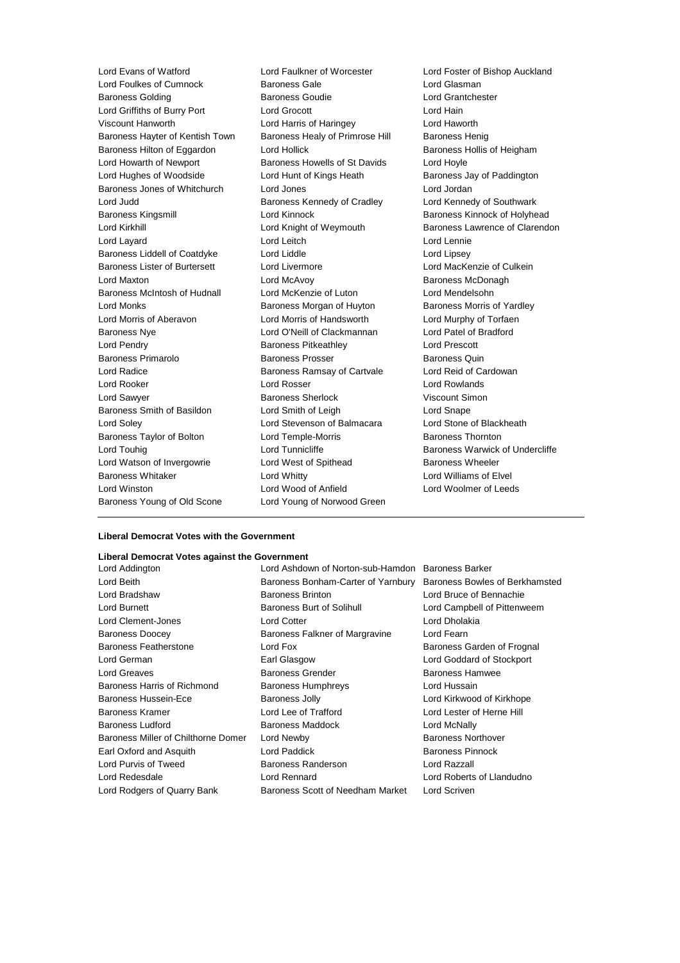Lord Foulkes of Cumnock Baroness Gale Lord Glasman Baroness Golding Baroness Goudie Lord Grantchester Lord Griffiths of Burry Port Lord Grocott Lord Hain Viscount Hanworth Lord Harris of Haringey Lord Haworth Baroness Hayter of Kentish Town Baroness Healy of Primrose Hill Baroness Henig Baroness Hilton of Eggardon Lord Hollick Baroness Hollis of Heigham Lord Howarth of Newport Baroness Howells of St Davids Lord Hoyle Lord Hughes of Woodside **Lord Hunt of Kings Heath** Baroness Jay of Paddington Baroness Jones of Whitchurch Lord Jones Lord Jordan Lord Judd **Baroness Kennedy of Cradley** Lord Kennedy of Southwark Baroness Kingsmill **Baroness Kinnock** Baroness Kinnock of Holyhead Lord Kirkhill **Lord Knight of Weymouth** Baroness Lawrence of Clarendon Lord Layard Lord Leitch Lord Lennie Baroness Liddell of Coatdyke Lord Liddle Lord Lines Lord Lipsey Baroness Lister of Burtersett Lord Livermore Culkein Lord MacKenzie of Culkein Lord Maxton **Lord McAvoy Baroness McDonagh Baroness** McDonagh Baroness McIntosh of Hudnall Lord McKenzie of Luton Lord Mendelsohn Lord Monks Baroness Morgan of Huyton Baroness Morris of Yardley Lord Morris of Aberavon Lord Morris of Handsworth Lord Murphy of Torfaen Baroness Nye Lord O'Neill of Clackmannan Lord Patel of Bradford Lord Pendry Baroness Pitkeathley Lord Prescott Baroness Primarolo **Baroness Prosser** Baroness Quin Lord Radice **Baroness Ramsay of Cartvale** Lord Reid of Cardowan Lord Reid of Cardowan Lord Rooker Lord Rosser Lord Rowlands Lord Sawyer Baroness Sherlock Viscount Simon Baroness Smith of Basildon Lord Smith of Leigh Lord Snape Lord Soley Lord Stevenson of Balmacara Lord Stone of Blackheath Baroness Taylor of Bolton Lord Temple-Morris **Baroness Thornton** Lord Touhig **Lord Tunnicliffe Baroness Warwick of Undercliffe Lord Tunnicliffe Baroness Warwick of Undercliffe** Lord Watson of Invergowrie **Lord West of Spithead** Baroness Wheeler Baroness Whitaker Lord Whitty Lord Williams of Elvel Lord Winston Lord Wood of Anfield Lord Woolmer of Leeds Baroness Young of Old Scone Lord Young of Norwood Green

Lord Evans of Watford Lord Faulkner of Worcester Lord Foster of Bishop Auckland

#### **Liberal Democrat Votes with the Government**

# **Liberal Democrat Votes against the Government**

Lord Rodgers of Quarry Bank Baroness Scott of Needham Market Lord Scriven

Lord Addington Lord Ashdown of Norton-sub-Hamdon Baroness Barker Lord Beith **Baroness Bonham-Carter of Yarnbury** Baroness Bowles of Berkhamsted Lord Bradshaw Baroness Brinton Lord Bruce of Bennachie Lord Burnett **Baroness Burt of Solihull** Lord Campbell of Pittenweem Lord Clement-Jones Lord Cotter Lord Dholakia Baroness Doocey Baroness Falkner of Margravine Lord Fearn Baroness Featherstone **Lord Fox** Lord Fox Baroness Garden of Frognal Lord German Earl Glasgow Lord Goddard of Stockport Lord Greaves **Baroness Grender** Baroness Hamwee Baroness Hamwee Baroness Harris of Richmond Baroness Humphreys Lord Hussain Baroness Hussein-Ece Baroness Jolly Lord Kirkwood of Kirkhope Baroness Kramer Lord Lee of Trafford Lord Lester of Herne Hill Baroness Ludford **Baroness Maddock** Lord McNally Baroness Miller of Chilthorne Domer Lord Newby **Baroness Northover** Baroness Northover Earl Oxford and Asquith **Lord Paddick Baroness Pinnock Baroness Pinnock** Lord Purvis of Tweed Baroness Randerson Lord Razzall Lord Redesdale Lord Rennard Lord Roberts of Llandudno